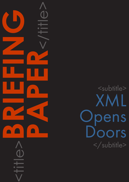

# <subtitle> XML pens oors </subtitle>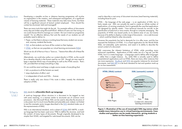## CAPDM Ltd. CAPDM Ltd.

Introduction **Developing a sizeable on-line or distance learning programme will involve** an organisation in the creation, and subsequent management, of a significant volume of learning materials. These materials may take many forms, but there will be a significant amount of textual content employed. How should this content be structured, held and managed?

- •Paper, so that there is always a working base that every student can access and, anyway, students like books;
- [PDF](http://en.wikipedia.org/wiki/PDF), so that students can have all the content on their laptops;
- [HTML](http://www.w3.org/html/), so that we can populate our virtual learning environments [\(VLE](http://www.jisc.ac.uk/whatwedo/programmes/programme_buildmle_hefe/mle_lifelonglearning_info/mle_briefingpack/mle_briefings_1.aspx)s).

There are many tools that might do the job. For example millions of documents every day are written using Microsoft Word. Millions of users can't be wrong, so we could choose Word to manage our content. But can it meet our programme needs? For an effective delivery that suits the needs of our students we will probably need to deliver to:

- let's us produce to all the formats we need;
- stops duplication of effort; and
- •is independent of tools and VLEs … forever.

Word can do all of that as it has a "Save as .." feature that offers all of these file formats.

Alternatively, we could also author our content directly in HTML, as this would let us develop directly in the format used by our VLE - though we may need to keep a separate Word copy of everything as well as this HTML version. That's OK, provided that we keep everything in step.

Or we could be smart and keep a single source master of everything that:

There is really only one choice if this route is taken, namely the wholesale adoption of XML.

#### [XML](http://www.w3.org/XML/) stands for eXtensible Mark-up Language.

A mark-up language allows structure in a document to be tagged as text with some meaning, in a manner similar to structured use of common word processors. Like Microsoft Word, XML can be used to describe the structure of a document, but it is much more flexible and extensible and, indeed, not limited to text (for example vector images described in the [SVG](http://www.w3.org/Graphics/SVG/) standard make use of the expressiveness of XML).

XML is an international standard, and a subset of [SGML](http://en.wikipedia.org/wiki/SGML) (ISO 8879), a markup language that has been used since 1986 to define the structure, and hold the content, of many types of documents. Though originally developed to be simpler than SGML, and targeted for web-based documents, XML can be

used to describe a vast array of document structures (read learning materials), including those for print.

HTML – the language of the web page – is an application of XML, but a fairly simple one. XML can actually be used to create an infinite number of applications, of varying complexity, but it is generally the case that applications are designed for specific needs – from technical manuals for aircraft, to the specification of historical or news events, through to computer messaging. The popularity of HTML was based partly on its relative ease of use, but mainly because of its ability to display a wide range of documents – via a web browser – which could be linked to other documents.

However this popularity has led to demands for it to offer more, and this has exposed the limitations of HTML. It is a fixed application for the World Wide Web, not extensible, quite restrictive, and weak in its ability to describe the actual content of a document.

XML overcomes the inherent limitations of HTML, while providing many enhanced capabilities. Applications of XML make use of a 'tag set', just like HTML, but it is a meta-language – a language used to define other languages – rather than a single instance. So, while XML is actually used to define presentational applications such as HTML, there are many other instances that are more expressive. [DocBook](http://www.docbook.org/) and [DITA](http://dita.xml.org/) are popular instances for structured documents, and [IMS QTI](http://www.imsglobal.org/question/) is a de facto standard for test and question mark-up for on-line assessments.

What is

XML?



enable more interactive use in virtual learning environments. Case studies and questions can be made interactive, giving students a better on-line learning experience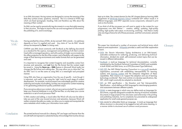#### p.4 **BRIEFING PAPER** XML Opens Doors **BRIEFING PAPER** XML Opens Doors p.5

## CAPDM Ltd. CAPDM Ltd.

# "We do XML"

In an XML document, the tag names are designed to convey the meaning of the data they contain (cases, questions, answers). This is in contrast to HTML tags which are fixed (paragraph, heading, link) and therefore say little about the meaning of their content.

Having extolled the virtues of XML, do be warned! XML is dumb – its usefulness depends on how it is applied and used. Any claim of "we do XML" should always be tempered by **how** it is being used.

So XML can be used to semantically tag documents in a way that adds meaning to their structure. This helps to improve the use and management of information, the publishing of it, and its exchange.

CAPDM uses XML (most commonly with DocBook as the defining document) as a standard for the capture, management and publishing of all client content. Used within a managed repository, and with a policy of single-source mastering, this offers protection for the life of the content, and a flexibility with respect to the range of final learning environments and media formats that can be generated and used.

It is important to recognise that content longevity and reusability comes from structure and semantics, and not from the file format that the content might be saved in. Using the Save as... XML feature in Microsoft Word really just changes the file format and nothing else. This may allow you to claim that "we do XML" but it is not the same as using XML in a meaningful and principled manner.

Using XML also frees an organisation from the use of specific - tools though it is important, and useful, to be using the 'right' tools for each stage of content development. For example, word processors are undoubtedly good for creative authoring and maybe visual editing, but they are not good for content mastering or for generating professional quality published output.

If you are serious about your content, why not use a serious toolset? You wouldn't keep your financial database in a set of flat text files; so why keep your course materials in a set of word processor files?

In XML creation and editing, a visual editor like Word will only ever be able to take you part of the way toward structure and semantics, because Word will neither constrain the edits you make, nor allow you to create and manipulate the extra metadata which makes your information more useful.

The printed technical manuals for a Boeing 747 are larger and heavier than the aircraft itself and represent a substantial body of knowledge that must be always kept up to date. The content domain for the UK's largest distance learning MBA programme at [Edinburgh Business School](http://www.ebsglobal.net/) numbered 20+ million words in 4 different languages, and 290+ separate course components, released in print and on-line formats.

If you think of all the processes you will want to apply to the content for your programmes over their lifetime – creation, editing, updating, high-quality printing, high-quality web output, re-structuring, archiving – then there is really only one *lingua franca* for all of those processes, and that is structured, semantic XML.

This paper has introduced a number of acronyms and technical terms which deserve some explanation. [Wikipedia](http://www.wikipedia.org/) provides a useful and fuller explanation of each.

- •[DITA](http://dita.xml.org/): the *Darwin Information Typing Architecture* is an XML-based, extensible architecture for authoring, producing, and delivering technical information, divided into small, self-contained content topics that can be reused in different deliverables.
- •[DocBook:](http://www.docbook.org/) a mark-up language for technical documentation, currently maintained by the DocBook Technical Committee at OASIS and available in both SGML and XML forms, as a DTD (Document Type Definition).
- *[IMS QTI](http://www.imsglobal.org/question/)*: the *IMS Global Learning Consortium* is a [non-profit](http://en.wikipedia.org/wiki/Non-profit) standards organization concerned with establishing interoperability for learning systems and [learning content](http://en.wikipedia.org/wiki/Non-profit) and the enterprise integration of these capabilities. Their mission is to "support the adoption and use of learning technology worldwide". Their main activity is to develop specifications, like QTI, which might eventually be adopted as standards.
- •[QTI:](http://www.imsglobal.org/question/) an IMS specification the Question and Test Interoperability Specification – which defines an XML language for interchanging questions and assessments between different systems.
- [SGML](http://en.wikipedia.org/wiki/SGML): a meta-language in which one can define mark-up languages for documents, originally designed to enable the sharing of machine-readable documents in large projects It has also been used extensively in the printing and publishing industries, but its complexity has prevented its widespread application for small-scale general-purpose use.
- [XML](http://www.w3.org/XML/) stands for eXtensible Mark-up Language. A mark-up language that allows structure in a document to be tagged as text with some meaning, in a manner similar to structured use of common word processors.

Conclusion

## Glossary